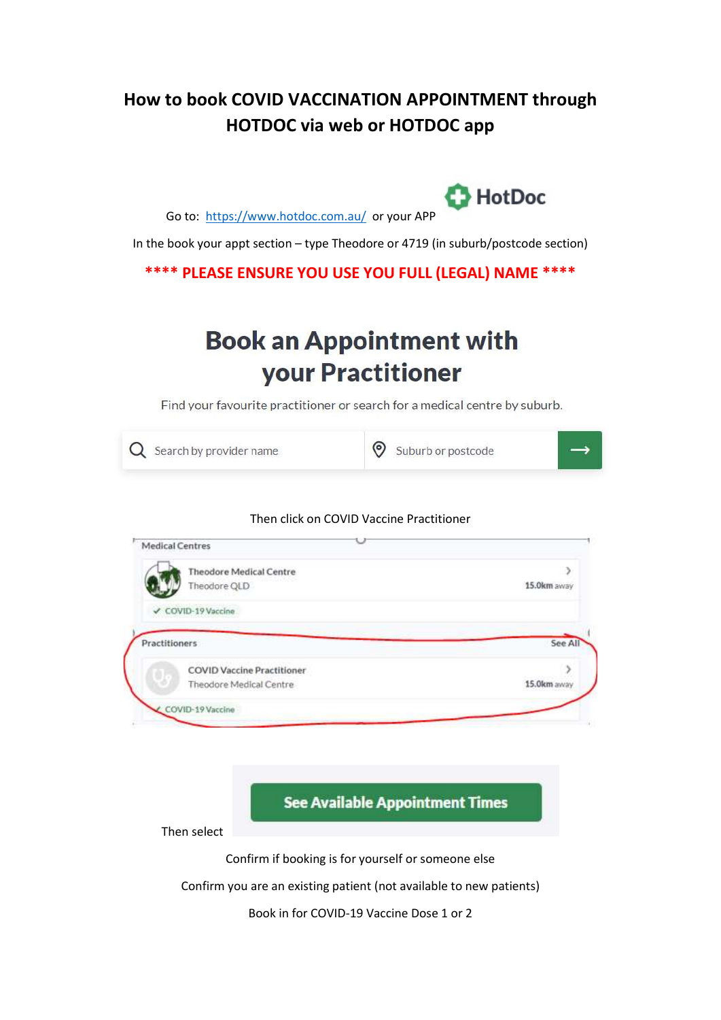## How to book COVID VACCINATION APPOINTMENT through HOTDOC via web or HOTDOC app

Go to: https://www.hotdoc.com.au/ or your APP

In the book your appt section – type Theodore or 4719 (in suburb/postcode section)

 $B$ HotDoc

#### \*\*\*\* PLEASE ENSURE YOU USE YOU FULL (LEGAL) NAME \*\*\*\*

# **Book an Appointment with** your Practitioner

Find your favourite practitioner or search for a medical centre by suburb.



#### Then click on COVID Vaccine Practitioner

| <b>Theodore Medical Centre</b>    | 3           |
|-----------------------------------|-------------|
| Theodore QLD                      | 15.0km away |
|                                   |             |
| ✔ COVID-19 Vaccine                |             |
|                                   |             |
| <b>Practitioners</b>              | See All     |
| <b>COVID Vaccine Practitioner</b> |             |

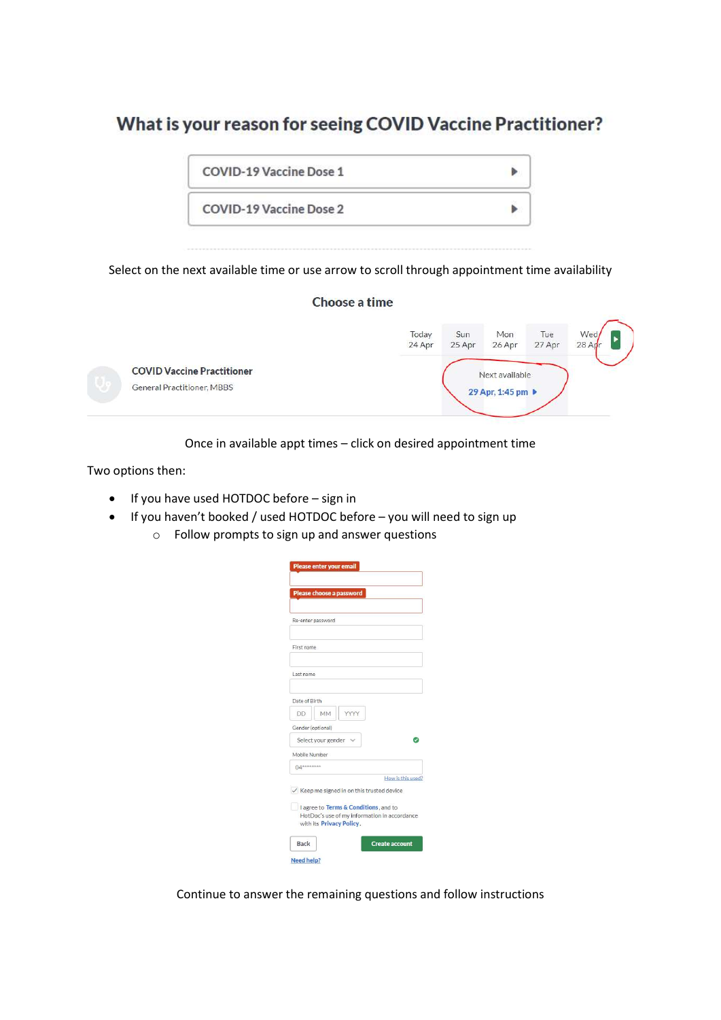### What is your reason for seeing COVID Vaccine Practitioner?

| COVID-19 Vaccine Dose 1        |  |
|--------------------------------|--|
| <b>COVID-19 Vaccine Dose 2</b> |  |

Select on the next available time or use arrow to scroll through appointment time availability

#### Choose a time Sun Mon Tue Today Wed 24 Apr 25 Apr 26 Apr 27 Apr  $28$  Ad **COVID Vaccine Practitioner** Next available General Practitioner, MBBS 29 Apr, 1:45 pm ▶

Once in available appt times – click on desired appointment time

Two options then:

- If you have used HOTDOC before sign in
- If you haven't booked / used HOTDOC before you will need to sign up
	- o Follow prompts to sign up and answer questions

|                          | Please choose a password                              |                   |
|--------------------------|-------------------------------------------------------|-------------------|
|                          |                                                       |                   |
| Re-enter password        |                                                       |                   |
| First name               |                                                       |                   |
| Last name                |                                                       |                   |
|                          |                                                       |                   |
| Date of Birth            |                                                       |                   |
| DD.                      | <b>MM</b>                                             |                   |
| Gender (optional)        |                                                       |                   |
|                          | Select your gender                                    |                   |
| Mobile Number            |                                                       |                   |
| $04$ <sup>nessenes</sup> |                                                       |                   |
|                          |                                                       | How is this used? |
|                          | $\checkmark$ Keep me signed in on this trusted device |                   |
|                          | I agree to Terms & Conditions, and to                 |                   |
|                          | HotDoc's use of my information in accordance          |                   |
|                          | with its Privacy Policy.                              |                   |

Continue to answer the remaining questions and follow instructions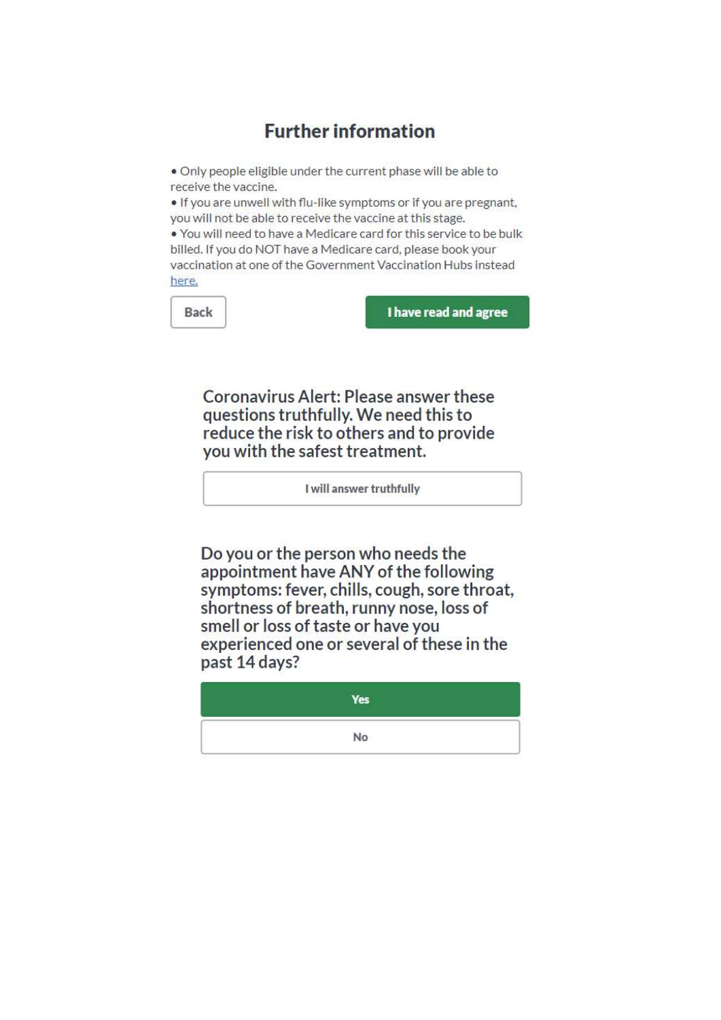### **Further information**

. Only people eligible under the current phase will be able to receive the vaccine.

. If you are unwell with flu-like symptoms or if you are pregnant, you will not be able to receive the vaccine at this stage.

. You will need to have a Medicare card for this service to be bulk billed. If you do NOT have a Medicare card, please book your vaccination at one of the Government Vaccination Hubs instead here.

nd agree

| <b>Back</b> | I have read a |
|-------------|---------------|
|-------------|---------------|

Coronavirus Alert: Please answer these questions truthfully. We need this to reduce the risk to others and to provide vou with the safest treatment.

I will answer truthfully

Do you or the person who needs the appointment have ANY of the following symptoms: fever, chills, cough, sore throat, shortness of breath, runny nose, loss of smell or loss of taste or have you experienced one or several of these in the past 14 days?

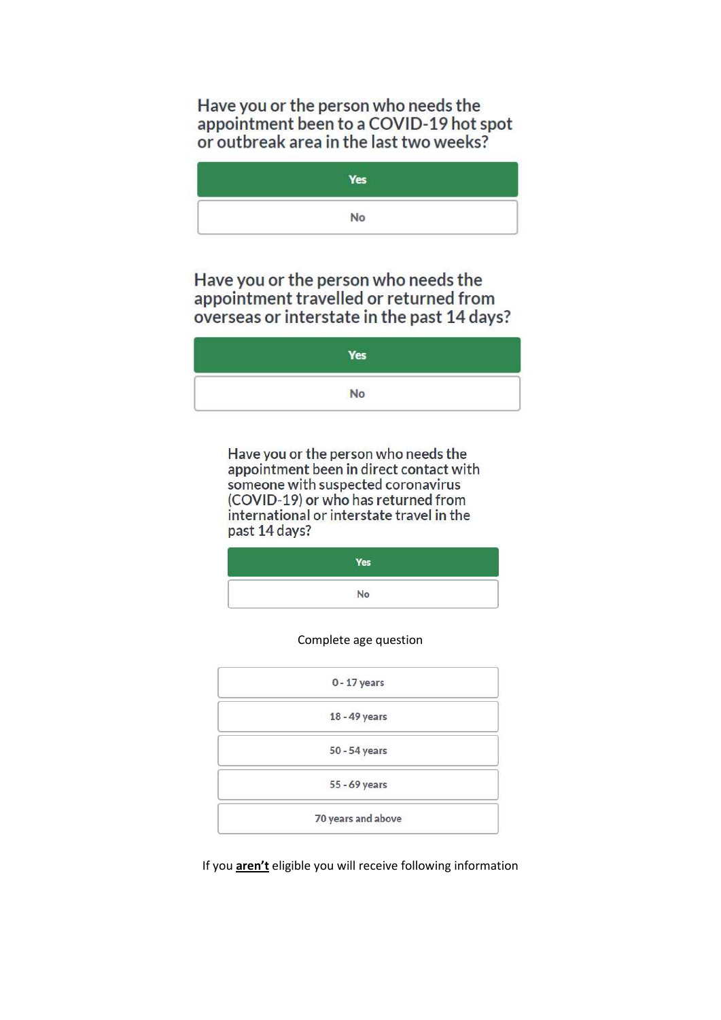Have you or the person who needs the appointment been to a COVID-19 hot spot or outbreak area in the last two weeks?

Yes No

Have you or the person who needs the appointment travelled or returned from overseas or interstate in the past 14 days?

| Yes |
|-----|
| No  |

Have you or the person who needs the appointment been in direct contact with someone with suspected coronavirus (COVID-19) or who has returned from international or interstate travel in the past 14 days?

| Yes |  |
|-----|--|
| No  |  |

Complete age question

| $0 - 17$ years     |  |
|--------------------|--|
| 18 - 49 years      |  |
| 50 - 54 years      |  |
| 55 - 69 years      |  |
| 70 years and above |  |

If you **aren't** eligible you will receive following information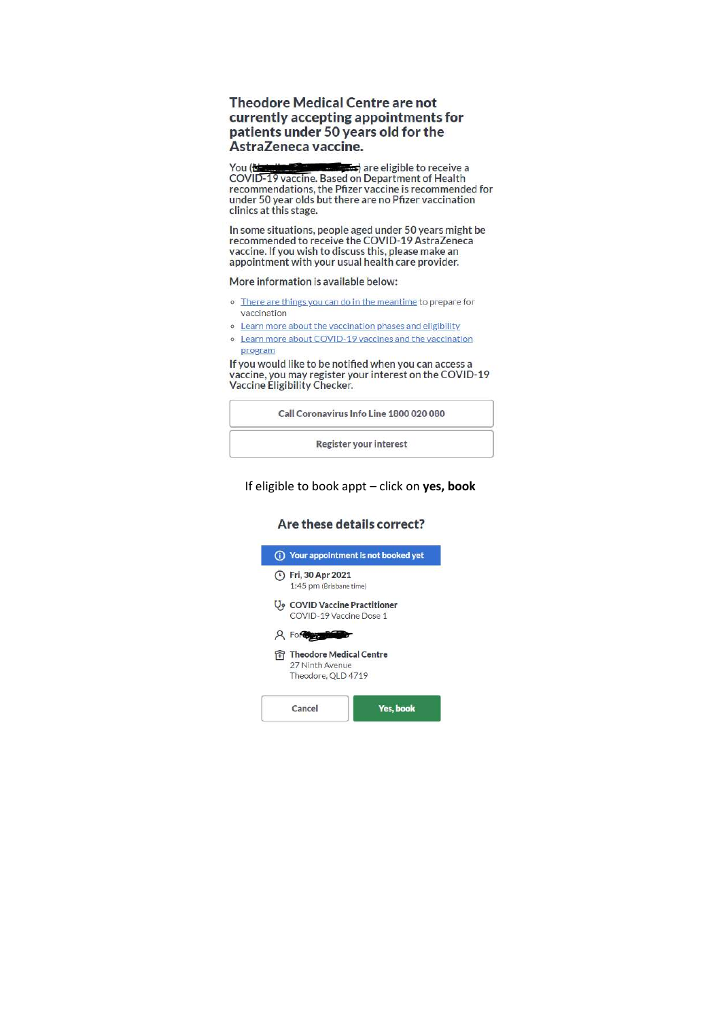#### **Theodore Medical Centre are not** currently accepting appointments for patients under 50 years old for the AstraZeneca vaccine.

You (<del>Natural Education</del>) are eligible to receive a<br>COVID-19 vaccine. Based on Department of Health<br>recommendations, the Pfizer vaccine is recommended for are eligible to receive a under 50 year olds but there are no Pfizer vaccination clinics at this stage.

In some situations, people aged under 50 years might be recommended to receive the COVID-19 AstraZeneca vaccine. If you wish to discuss this, please make an appointment with your usual health care provider.

More information is available below:

- o There are things you can do in the meantime to prepare for vaccination
- o Learn more about the vaccination phases and eligibility
- o Learn more about COVID-19 vaccines and the vaccination program

If you would like to be notified when you can access a vaccine, you may register your interest on the COVID-19<br>Vaccine Eligibility Checker.

Call Coronavirus Info Line 1800 020 080

Register your interest

#### If eligible to book appt - click on yes, book

#### Are these details correct?

| Your appointment is not booked yet                                              |           |
|---------------------------------------------------------------------------------|-----------|
| (1) Fri, 30 Apr 2021<br>1:45 pm (Brisbane time)                                 |           |
| $\mathsf{U}_{\mathsf{P}}$ COVID Vaccine Practitioner<br>COVID-19 Vaccine Dose 1 |           |
| <b>A</b> For                                                                    |           |
| <b>Theodore Medical Centre</b><br>27 Ninth Avenue<br>Theodore, QLD 4719         |           |
| Cancel                                                                          | Yes, book |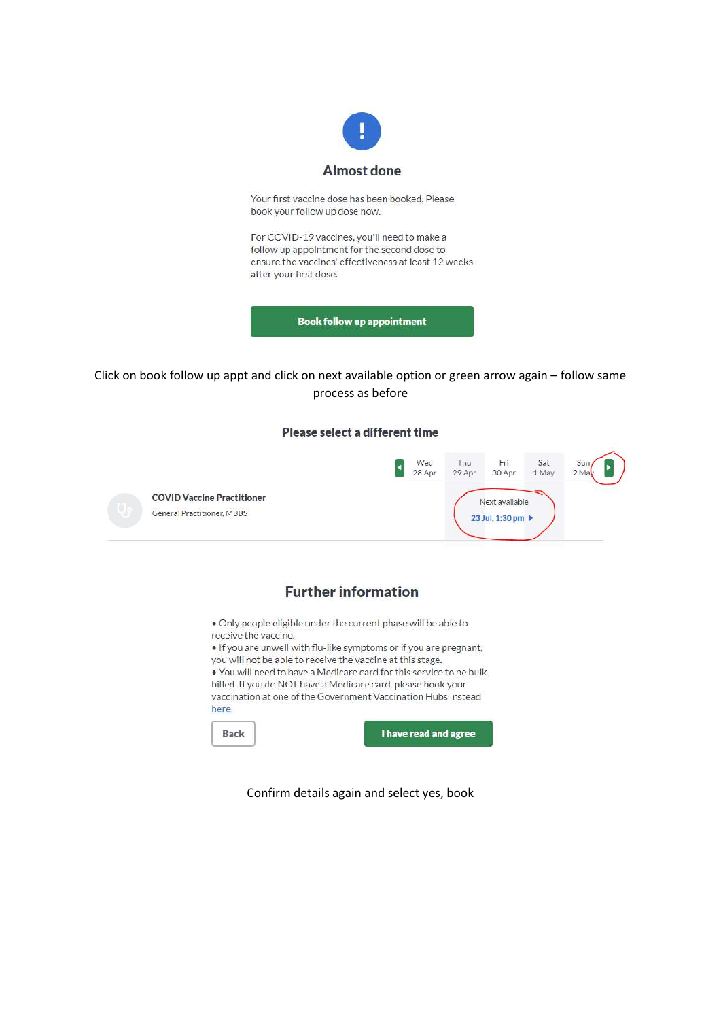

Your first vaccine dose has been booked. Please book your follow up dose now.

For COVID-19 vaccines, you'll need to make a follow up appointment for the second dose to ensure the vaccines' effectiveness at least 12 weeks after your first dose.

**Book follow up appointment** 

#### Click on book follow up appt and click on next available option or green arrow again - follow same process as before

#### Please select a different time



### **Further information**

. Only people eligible under the current phase will be able to receive the vaccine.

. If you are unwell with flu-like symptoms or if you are pregnant, you will not be able to receive the vaccine at this stage.

. You will need to have a Medicare card for this service to be bulk billed. If you do NOT have a Medicare card, please book your vaccination at one of the Government Vaccination Hubs instead here.

Back

I have read and agree

Confirm details again and select yes, book